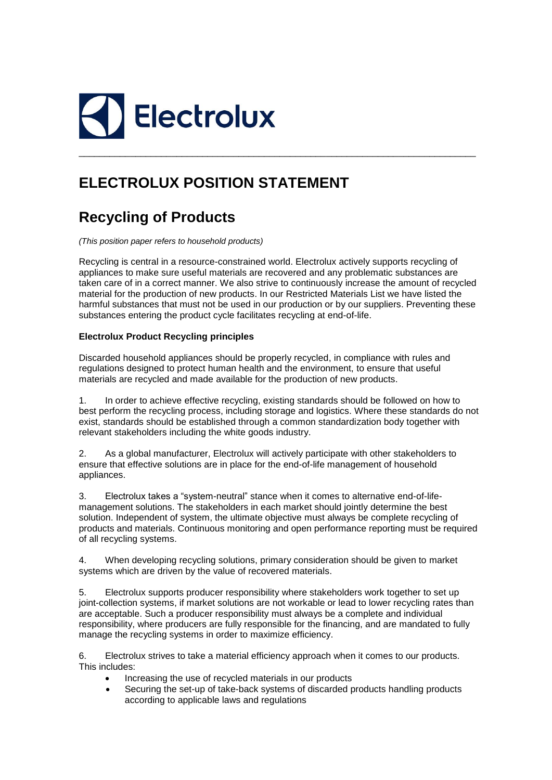

## **ELECTROLUX POSITION STATEMENT**

## **Recycling of Products**

*(This position paper refers to household products)* 

Recycling is central in a resource-constrained world. Electrolux actively supports recycling of appliances to make sure useful materials are recovered and any problematic substances are taken care of in a correct manner. We also strive to continuously increase the amount of recycled material for the production of new products. In our Restricted Materials List we have listed the harmful substances that must not be used in our production or by our suppliers. Preventing these substances entering the product cycle facilitates recycling at end-of-life.

\_\_\_\_\_\_\_\_\_\_\_\_\_\_\_\_\_\_\_\_\_\_\_\_\_\_\_\_\_\_\_\_\_\_\_\_\_\_\_\_\_\_\_\_\_\_\_\_\_\_\_\_\_\_\_\_\_\_\_\_\_\_\_\_\_\_\_\_\_\_\_\_\_\_\_\_\_

## **Electrolux Product Recycling principles**

Discarded household appliances should be properly recycled, in compliance with rules and regulations designed to protect human health and the environment, to ensure that useful materials are recycled and made available for the production of new products.

1. In order to achieve effective recycling, existing standards should be followed on how to best perform the recycling process, including storage and logistics. Where these standards do not exist, standards should be established through a common standardization body together with relevant stakeholders including the white goods industry.

2. As a global manufacturer, Electrolux will actively participate with other stakeholders to ensure that effective solutions are in place for the end-of-life management of household appliances.

3. Electrolux takes a "system-neutral" stance when it comes to alternative end-of-lifemanagement solutions. The stakeholders in each market should jointly determine the best solution. Independent of system, the ultimate objective must always be complete recycling of products and materials. Continuous monitoring and open performance reporting must be required of all recycling systems.

4. When developing recycling solutions, primary consideration should be given to market systems which are driven by the value of recovered materials.

5. Electrolux supports producer responsibility where stakeholders work together to set up joint-collection systems, if market solutions are not workable or lead to lower recycling rates than are acceptable. Such a producer responsibility must always be a complete and individual responsibility, where producers are fully responsible for the financing, and are mandated to fully manage the recycling systems in order to maximize efficiency.

6. Electrolux strives to take a material efficiency approach when it comes to our products. This includes:

- Increasing the use of recycled materials in our products
- Securing the set-up of take-back systems of discarded products handling products according to applicable laws and regulations